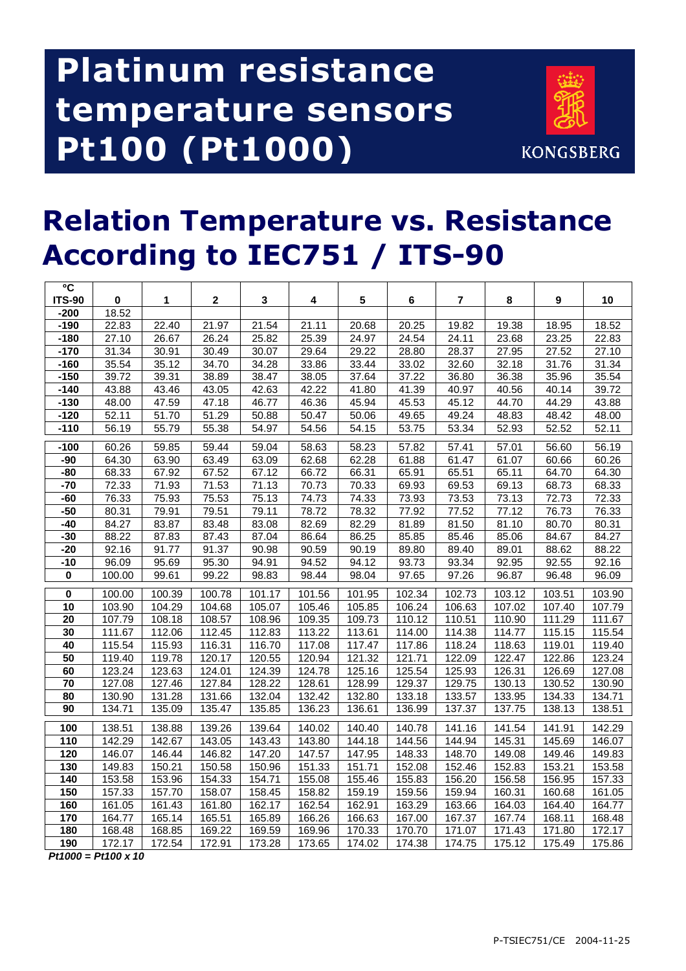## **Platinum resistance temperature sensors Pt100 (Pt1000)**



## **Relation Temperature vs. Resistance According to IEC751 / ITS-90**

| $\overline{\mathbf{c}}$ |                               |                |                |                |                |                |                |                |                |                |                |
|-------------------------|-------------------------------|----------------|----------------|----------------|----------------|----------------|----------------|----------------|----------------|----------------|----------------|
| <b>ITS-90</b>           | $\pmb{0}$                     | 1              | $\mathbf{2}$   | $\mathbf{3}$   | 4              | ${\bf 5}$      | 6              | $\overline{7}$ | 8              | 9              | 10             |
| $-200$                  | 18.52                         |                |                |                |                |                |                |                |                |                |                |
| $-190$<br>$-180$        | 22.83<br>27.10                | 22.40<br>26.67 | 21.97<br>26.24 | 21.54<br>25.82 | 21.11<br>25.39 | 20.68<br>24.97 | 20.25<br>24.54 | 19.82<br>24.11 | 19.38          | 18.95          | 18.52<br>22.83 |
|                         |                               |                |                |                |                |                |                |                | 23.68          | 23.25          |                |
| $-170$                  | 31.34                         | 30.91<br>35.12 | 30.49          | 30.07          | 29.64          | 29.22          | 28.80          | 28.37<br>32.60 | 27.95<br>32.18 | 27.52          | 27.10<br>31.34 |
| $-160$<br>$-150$        | 35.54<br>39.72                | 39.31          | 34.70<br>38.89 | 34.28<br>38.47 | 33.86          | 33.44<br>37.64 | 33.02<br>37.22 | 36.80          | 36.38          | 31.76<br>35.96 | 35.54          |
| $-140$                  | 43.88                         | 43.46          | 43.05          |                | 38.05<br>42.22 |                | 41.39          | 40.97          | 40.56          | 40.14          | 39.72          |
| $-130$                  | 48.00                         | 47.59          | 47.18          | 42.63<br>46.77 | 46.36          | 41.80<br>45.94 | 45.53          | 45.12          | 44.70          | 44.29          | 43.88          |
| $-120$                  | 52.11                         | 51.70          | 51.29          | 50.88          | 50.47          | 50.06          | 49.65          | 49.24          | 48.83          | 48.42          | 48.00          |
| $-110$                  | 56.19                         | 55.79          | 55.38          | 54.97          | 54.56          | 54.15          | 53.75          | 53.34          | 52.93          | 52.52          | 52.11          |
|                         |                               |                |                |                |                |                |                |                |                |                |                |
| $-100$                  | 60.26                         | 59.85          | 59.44          | 59.04          | 58.63          | 58.23          | 57.82          | 57.41          | 57.01          | 56.60          | 56.19          |
| $-90$                   | 64.30                         | 63.90          | 63.49          | 63.09          | 62.68          | 62.28          | 61.88          | 61.47          | 61.07          | 60.66          | 60.26          |
| $-80$                   | 68.33                         | 67.92          | 67.52          | 67.12          | 66.72          | 66.31          | 65.91          | 65.51          | 65.11          | 64.70          | 64.30          |
| $-70$                   | 72.33                         | 71.93          | 71.53          | 71.13          | 70.73          | 70.33          | 69.93          | 69.53          | 69.13          | 68.73          | 68.33          |
| $-60$                   | 76.33                         | 75.93          | 75.53          | 75.13          | 74.73          | 74.33          | 73.93          | 73.53          | 73.13          | 72.73          | 72.33          |
| $-50$                   | 80.31                         | 79.91          | 79.51          | 79.11          | 78.72          | 78.32          | 77.92          | 77.52          | 77.12          | 76.73          | 76.33          |
| $-40$                   | 84.27                         | 83.87          | 83.48          | 83.08          | 82.69          | 82.29          | 81.89          | 81.50          | 81.10          | 80.70          | 80.31          |
| $-30$                   | 88.22                         | 87.83          | 87.43          | 87.04          | 86.64          | 86.25          | 85.85          | 85.46          | 85.06          | 84.67          | 84.27          |
| $-20$                   | 92.16                         | 91.77          | 91.37          | 90.98          | 90.59          | 90.19          | 89.80          | 89.40          | 89.01          | 88.62          | 88.22          |
| $-10$                   | 96.09                         | 95.69          | 95.30          | 94.91          | 94.52          | 94.12          | 93.73          | 93.34          | 92.95          | 92.55          | 92.16          |
| $\pmb{0}$               | 100.00                        | 99.61          | 99.22          | 98.83          | 98.44          | 98.04          | 97.65          | 97.26          | 96.87          | 96.48          | 96.09          |
| $\overline{\mathbf{0}}$ | 100.00                        | 100.39         | 100.78         | 101.17         | 101.56         | 101.95         | 102.34         | 102.73         | 103.12         | 103.51         | 103.90         |
| $\overline{10}$         | 103.90                        | 104.29         | 104.68         | 105.07         | 105.46         | 105.85         | 106.24         | 106.63         | 107.02         | 107.40         | 107.79         |
| 20                      | 107.79                        | 108.18         | 108.57         | 108.96         | 109.35         | 109.73         | 110.12         | 110.51         | 110.90         | 111.29         | 111.67         |
| 30                      | 111.67                        | 112.06         | 112.45         | 112.83         | 113.22         | 113.61         | 114.00         | 114.38         | 114.77         | 115.15         | 115.54         |
| 40                      | 115.54                        | 115.93         | 116.31         | 116.70         | 117.08         | 117.47         | 117.86         | 118.24         | 118.63         | 119.01         | 119.40         |
| $\overline{50}$         | 119.40                        | 119.78         | 120.17         | 120.55         | 120.94         | 121.32         | 121.71         | 122.09         | 122.47         | 122.86         | 123.24         |
| 60                      | 123.24                        | 123.63         | 124.01         | 124.39         | 124.78         | 125.16         | 125.54         | 125.93         | 126.31         | 126.69         | 127.08         |
| 70                      | 127.08                        | 127.46         | 127.84         | 128.22         | 128.61         | 128.99         | 129.37         | 129.75         | 130.13         | 130.52         | 130.90         |
| 80                      | 130.90                        | 131.28         | 131.66         | 132.04         | 132.42         | 132.80         | 133.18         | 133.57         | 133.95         | 134.33         | 134.71         |
| 90                      | 134.71                        | 135.09         | 135.47         | 135.85         | 136.23         | 136.61         | 136.99         | 137.37         | 137.75         | 138.13         | 138.51         |
| 100                     | 138.51                        | 138.88         | 139.26         | 139.64         | 140.02         | 140.40         | 140.78         | 141.16         | 141.54         | 141.91         | 142.29         |
| $\frac{110}{110}$       | 142.29                        | 142.67         | 143.05         | 143.43         | 143.80         | 144.18         | 144.56         | 144.94         | 145.31         | 145.69         | 146.07         |
| 120                     | 146.07                        | 146.44         | 146.82         | 147.20         | 147.57         | 147.95         | 148.33         | 148.70         | 149.08         | 149.46         | 149.83         |
| 130                     | 149.83                        | 150.21         | 150.58         | 150.96         | 151.33         | 151.71         | 152.08         | 152.46         | 152.83         | 153.21         | 153.58         |
| 140                     | 153.58                        | 153.96         | 154.33         | 154.71         | 155.08         | 155.46         | 155.83         | 156.20         | 156.58         | 156.95         | 157.33         |
| 150                     | 157.33                        | 157.70         | 158.07         | 158.45         | 158.82         | 159.19         | 159.56         | 159.94         | 160.31         | 160.68         | 161.05         |
| 160                     | 161.05                        | 161.43         | 161.80         | 162.17         | 162.54         | 162.91         | 163.29         | 163.66         | 164.03         | 164.40         | 164.77         |
| 170                     | 164.77                        | 165.14         | 165.51         | 165.89         | 166.26         | 166.63         | 167.00         | 167.37         | 167.74         | 168.11         | 168.48         |
| 180                     | 168.48                        | 168.85         | 169.22         | 169.59         | 169.96         | 170.33         | 170.70         | 171.07         | 171.43         | 171.80         | 172.17         |
| 190<br><b>DA4000</b>    | 172.17<br>$P_{4400}$ $\mu$ 40 | 172.54         | 172.91         | 173.28         | 173.65         | 174.02         | 174.38         | 174.75         | 175.12         | 175.49         | 175.86         |

**Pt1000 = Pt100 x 10**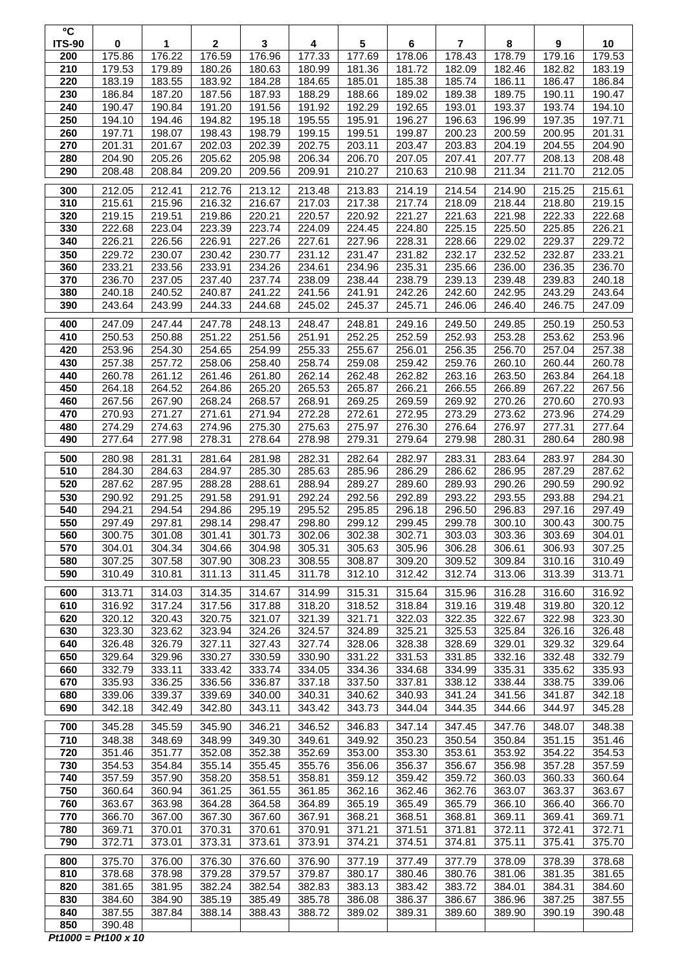| °C                   |                  |                  |                        |                  |                  |                                   |                  |                          |                  |                            |                               |
|----------------------|------------------|------------------|------------------------|------------------|------------------|-----------------------------------|------------------|--------------------------|------------------|----------------------------|-------------------------------|
| <b>ITS-90</b><br>200 | 0<br>175.86      | 1<br>176.22      | $\mathbf{2}$<br>176.59 | 3<br>176.96      | 4<br>177.33      | $\overline{\mathbf{5}}$<br>177.69 | 6<br>178.06      | $\overline{7}$<br>178.43 | 8<br>178.79      | $\boldsymbol{9}$<br>179.16 | 10<br>179.53                  |
| 210                  | 179.53           | 179.89           | 180.26                 | 180.63           | 180.99           | 181.36                            | 181.72           | 182.09                   | 182.46           | 182.82                     | 183.19                        |
| 220                  | 183.19           | 183.55           | 183.92                 | 184.28           | 184.65           | 185.01                            | 185.38           | 185.74                   | 186.11           | 186.47                     | 186.84                        |
| 230                  | 186.84           | 187.20           | 187.56                 | 187.93           | 188.29           | 188.66                            | 189.02           | 189.38                   | 189.75           | 190.11                     | 190.47                        |
| 240                  | 190.47           | 190.84           | 191.20                 | 191.56           | 191.92           | 192.29                            | 192.65           | 193.01                   | 193.37           | 193.74                     | 194.10                        |
| 250<br>260           | 194.10<br>197.71 | 194.46<br>198.07 | 194.82<br>198.43       | 195.18<br>198.79 | 195.55<br>199.15 | 195.91<br>199.51                  | 196.27<br>199.87 | 196.63<br>200.23         | 196.99<br>200.59 | 197.35<br>200.95           | 197.71<br>201.31              |
| 270                  | 201.31           | 201.67           | 202.03                 | 202.39           | 202.75           | 203.11                            | 203.47           | 203.83                   | 204.19           | 204.55                     | 204.90                        |
| 280                  | 204.90           | 205.26           | 205.62                 | 205.98           | 206.34           | 206.70                            | 207.05           | 207.41                   | 207.77           | 208.13                     | 208.48                        |
| 290                  | 208.48           | 208.84           | 209.20                 | 209.56           | 209.91           | 210.27                            | 210.63           | 210.98                   | 211.34           | 211.70                     | 212.05                        |
| 300                  | 212.05           | 212.41           | 212.76                 | 213.12           | 213.48           | 213.83                            | 214.19           | 214.54                   | 214.90           | 215.25                     | 215.61                        |
| 310                  | 215.61           | 215.96           | 216.32                 | 216.67           | 217.03           | 217.38                            | 217.74           | 218.09                   | 218.44           | 218.80                     | 219.15                        |
| 320                  | 219.15           | 219.51           | 219.86                 | 220.21           | 220.57           | 220.92                            | 221.27           | 221.63                   | 221.98           | 222.33                     | 222.68                        |
| 330<br>340           | 222.68<br>226.21 | 223.04<br>226.56 | 223.39<br>226.91       | 223.74<br>227.26 | 224.09<br>227.61 | 224.45<br>227.96                  | 224.80<br>228.31 | 225.15<br>228.66         | 225.50<br>229.02 | 225.85<br>229.37           | 226.21<br>229.72              |
| 350                  | 229.72           | 230.07           | 230.42                 | 230.77           | 231.12           | 231.47                            | 231.82           | 232.17                   | 232.52           | 232.87                     | 233.21                        |
| 360                  | 233.21           | 233.56           | 233.91                 | 234.26           | 234.61           | 234.96                            | 235.31           | 235.66                   | 236.00           | 236.35                     | 236.70                        |
| 370                  | 236.70           | 237.05           | 237.40                 | 237.74           | 238.09           | 238.44                            | 238.79           | 239.13                   | 239.48           | 239.83                     | 240.18                        |
| 380                  | 240.18           | 240.52           | 240.87                 | 241.22           | 241.56           | 241.91                            | 242.26           | 242.60                   | 242.95           | 243.29                     | 243.64                        |
| 390                  | 243.64           | 243.99           | 244.33                 | 244.68           | 245.02           | 245.37                            | 245.71           | 246.06                   | 246.40           | 246.75                     | 247.09                        |
| 400                  | 247.09           | 247.44           | 247.78                 | 248.13           | 248.47           | 248.81                            | 249.16           | 249.50                   | 249.85           | 250.19                     | 250.53                        |
| 410                  | 250.53           | 250.88           | 251.22                 | 251.56           | 251.91           | 252.25                            | 252.59           | 252.93                   | 253.28           | 253.62                     | 253.96                        |
| 420<br>430           | 253.96<br>257.38 | 254.30<br>257.72 | 254.65<br>258.06       | 254.99<br>258.40 | 255.33<br>258.74 | 255.67<br>259.08                  | 256.01<br>259.42 | 256.35<br>259.76         | 256.70<br>260.10 | 257.04<br>260.44           | 257.38<br>260.78              |
| 440                  | 260.78           | 261.12           | 261.46                 | 261.80           | 262.14           | 262.48                            | 262.82           | 263.16                   | 263.50           | 263.84                     | 264.18                        |
| 450                  | 264.18           | 264.52           | 264.86                 | 265.20           | 265.53           | 265.87                            | 266.21           | 266.55                   | 266.89           | 267.22                     | 267.56                        |
| 460                  | 267.56           | 267.90           | 268.24                 | 268.57           | 268.91           | 269.25                            | 269.59           | 269.92                   | 270.26           | 270.60                     | 270.93                        |
| 470                  | 270.93           | 271.27           | 271.61                 | 271.94           | 272.28           | 272.61                            | 272.95           | 273.29                   | 273.62           | 273.96                     | 274.29                        |
| 480<br>490           | 274.29<br>277.64 | 274.63<br>277.98 | 274.96<br>278.31       | 275.30<br>278.64 | 275.63<br>278.98 | 275.97<br>279.31                  | 276.30<br>279.64 | 276.64<br>279.98         | 276.97<br>280.31 | 277.31<br>280.64           | $\overline{277.64}$<br>280.98 |
|                      |                  |                  |                        |                  |                  |                                   |                  |                          |                  |                            |                               |
| 500<br>510           | 280.98           | 281.31           | 281.64<br>284.97       | 281.98           | 282.31           | 282.64<br>285.96                  | 282.97<br>286.29 | 283.31<br>286.62         | 283.64           | 283.97                     | 284.30<br>287.62              |
| $\overline{520}$     | 284.30<br>287.62 | 284.63<br>287.95 | 288.28                 | 285.30<br>288.61 | 285.63<br>288.94 | 289.27                            | 289.60           | 289.93                   | 286.95<br>290.26 | 287.29<br>290.59           | 290.92                        |
| 530                  | 290.92           | 291.25           | 291.58                 | 291.91           | 292.24           | 292.56                            | 292.89           | 293.22                   | 293.55           | 293.88                     | 294.21                        |
| 540                  | 294.21           | 294.54           | 294.86                 | 295.19           | 295.52           | 295.85                            | 296.18           | 296.50                   | 296.83           | 297.16                     | 297.49                        |
| 550                  | 297.49           | 297.81           | 298.14                 | 298.47           | 298.80           | 299.12                            | 299.45           | 299.78                   | 300.10           | 300.43                     | 300.75                        |
| 560<br>570           | 300.75<br>304.01 | 301.08<br>304.34 | 301.41<br>304.66       | 301.73<br>304.98 | 302.06<br>305.31 | 302.38<br>305.63                  | 302.71<br>305.96 | 303.03<br>306.28         | 303.36<br>306.61 | 303.69<br>306.93           | 304.01<br>307.25              |
| 580                  | 307.25           | 307.58           | 307.90                 | 308.23           | 308.55           | 308.87                            | 309.20           | 309.52                   | 309.84           | 310.16                     | 310.49                        |
| 590                  | 310.49           | 310.81           | 311.13                 | 311.45           | 311.78           | 312.10                            | 312.42           | 312.74                   | 313.06           | 313.39                     | 313.71                        |
| 600                  | 313.71           | 314.03           | 314.35                 | 314.67           | 314.99           | 315.31                            | 315.64           | 315.96                   | 316.28           | 316.60                     | 316.92                        |
| 610                  | 316.92           | 317.24           | 317.56                 | 317.88           | 318.20           | 318.52                            | 318.84           | 319.16                   | 319.48           | 319.80                     | 320.12                        |
| 620                  | 320.12           | 320.43           | 320.75                 | 321.07           | 321.39           | 321.71                            | 322.03           | 322.35                   | 322.67           | 322.98                     | 323.30                        |
| 630                  | 323.30           | 323.62           | 323.94                 | 324.26           | 324.57           | 324.89                            | 325.21           | 325.53                   | 325.84           | 326.16                     | 326.48                        |
| 640<br>650           | 326.48<br>329.64 | 326.79<br>329.96 | 327.11<br>330.27       | 327.43<br>330.59 | 327.74<br>330.90 | 328.06<br>331.22                  | 328.38<br>331.53 | 328.69<br>331.85         | 329.01<br>332.16 | 329.32<br>332.48           | 329.64<br>332.79              |
| 660                  | 332.79           | 333.11           | 333.42                 | 333.74           | 334.05           | 334.36                            | 334.68           | 334.99                   | 335.31           | 335.62                     | 335.93                        |
| 670                  | 335.93           | 336.25           | 336.56                 | 336.87           | 337.18           | 337.50                            | 337.81           | 338.12                   | 338.44           | 338.75                     | 339.06                        |
| 680                  | 339.06           | 339.37           | 339.69                 | 340.00           | 340.31           | 340.62                            | 340.93           | 341.24                   | 341.56           | 341.87                     | 342.18                        |
| 690                  | 342.18           | 342.49           | 342.80                 | 343.11           | 343.42           | 343.73                            | 344.04           | 344.35                   | 344.66           | 344.97                     | 345.28                        |
| 700                  | 345.28           | 345.59           | 345.90                 | 346.21           | 346.52           | 346.83                            | 347.14           | 347.45                   | 347.76           | 348.07                     | 348.38                        |
| 710<br>720           | 348.38<br>351.46 | 348.69<br>351.77 | 348.99<br>352.08       | 349.30<br>352.38 | 349.61<br>352.69 | 349.92<br>353.00                  | 350.23<br>353.30 | 350.54<br>353.61         | 350.84<br>353.92 | 351.15<br>354.22           | 351.46                        |
| 730                  | 354.53           | 354.84           | 355.14                 | 355.45           | 355.76           | 356.06                            | 356.37           | 356.67                   | 356.98           | 357.28                     | 354.53<br>357.59              |
| 740                  | 357.59           | 357.90           | 358.20                 | 358.51           | 358.81           | 359.12                            | 359.42           | 359.72                   | 360.03           | 360.33                     | 360.64                        |
| 750                  | 360.64           | 360.94           | 361.25                 | 361.55           | 361.85           | 362.16                            | 362.46           | 362.76                   | 363.07           | 363.37                     | 363.67                        |
| 760                  | 363.67           | 363.98           | 364.28                 | 364.58           | 364.89           | 365.19                            | 365.49           | 365.79                   | 366.10           | 366.40                     | 366.70                        |
| 770<br>780           | 366.70<br>369.71 | 367.00<br>370.01 | 367.30<br>370.31       | 367.60<br>370.61 | 367.91<br>370.91 | 368.21<br>371.21                  | 368.51<br>371.51 | 368.81<br>371.81         | 369.11<br>372.11 | 369.41<br>372.41           | 369.71<br>372.71              |
| 790                  | 372.71           | 373.01           | 373.31                 | 373.61           | 373.91           | 374.21                            | 374.51           | 374.81                   | 375.11           | 375.41                     | 375.70                        |
| 800                  | 375.70           | 376.00           | 376.30                 | 376.60           | 376.90           | 377.19                            | 377.49           | 377.79                   | 378.09           | 378.39                     | 378.68                        |
| 810                  | 378.68           | 378.98           | 379.28                 | 379.57           | 379.87           | 380.17                            | 380.46           | 380.76                   | 381.06           | 381.35                     | 381.65                        |
| 820                  | 381.65           | 381.95           | 382.24                 | 382.54           | 382.83           | 383.13                            | 383.42           | 383.72                   | 384.01           | 384.31                     | 384.60                        |
| 830                  | 384.60           | 384.90           | 385.19                 | 385.49           | 385.78           | 386.08                            | 386.37           | 386.67                   | 386.96           | 387.25                     | 387.55                        |
| 840                  | 387.55           | 387.84           | 388.14                 | 388.43           | 388.72           | 389.02                            | 389.31           | 389.60                   | 389.90           | 390.19                     | 390.48                        |
| 850                  | 390.48           |                  |                        |                  |                  |                                   |                  |                          |                  |                            |                               |

**Pt1000 = Pt100 x 10**